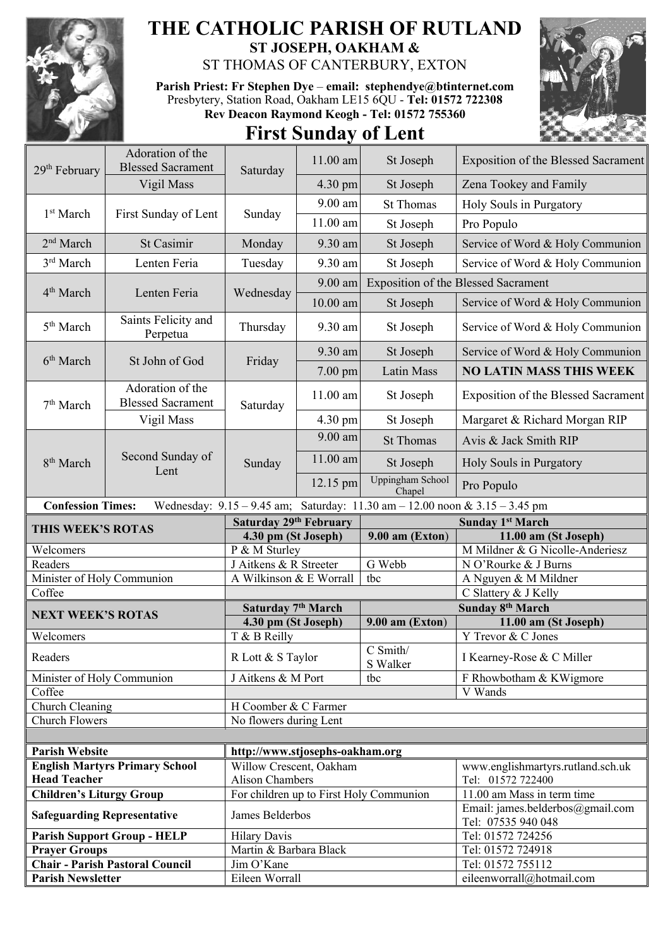

## **THE CATHOLIC PARISH OF RUTLAND ST JOSEPH, OAKHAM &**

ST THOMAS OF CANTERBURY, EXTON

**Parish Priest: Fr Stephen Dye** – **[email: stephendye@btinternet.com](mailto:email:%20%20stephendye@btinternet.com)** Presbytery, Station Road, Oakham LE15 6QU - **Tel: 01572 722308 Rev Deacon Raymond Keogh - Tel: 01572 755360**

## **First Sunday of Lent**



| 29 <sup>th</sup> February                                                                               | Adoration of the<br><b>Blessed Sacrament</b> |                                                            | 11.00 am   | St Joseph                               | Exposition of the Blessed Sacrament                    |  |
|---------------------------------------------------------------------------------------------------------|----------------------------------------------|------------------------------------------------------------|------------|-----------------------------------------|--------------------------------------------------------|--|
|                                                                                                         | Vigil Mass                                   | Saturday                                                   | 4.30 pm    | St Joseph                               | Zena Tookey and Family                                 |  |
| 1 <sup>st</sup> March                                                                                   | First Sunday of Lent                         | Sunday                                                     | $9.00$ am  | <b>St Thomas</b>                        | Holy Souls in Purgatory                                |  |
|                                                                                                         |                                              |                                                            | $11.00$ am | St Joseph                               | Pro Populo                                             |  |
| 2 <sup>nd</sup> March                                                                                   | St Casimir                                   | Monday                                                     | 9.30 am    | St Joseph                               | Service of Word & Holy Communion                       |  |
| 3rd March                                                                                               | Lenten Feria                                 | Tuesday                                                    | 9.30 am    | St Joseph                               | Service of Word & Holy Communion                       |  |
| 4 <sup>th</sup> March                                                                                   | Lenten Feria                                 | Wednesday                                                  | 9.00 am    |                                         | <b>Exposition of the Blessed Sacrament</b>             |  |
|                                                                                                         |                                              |                                                            | $10.00$ am | St Joseph                               | Service of Word & Holy Communion                       |  |
|                                                                                                         | Saints Felicity and                          |                                                            |            |                                         |                                                        |  |
| 5 <sup>th</sup> March                                                                                   | Perpetua                                     | Thursday                                                   | 9.30 am    | St Joseph                               | Service of Word & Holy Communion                       |  |
| 6 <sup>th</sup> March                                                                                   | St John of God                               | Friday                                                     | 9.30 am    | St Joseph                               | Service of Word & Holy Communion                       |  |
|                                                                                                         |                                              |                                                            | 7.00 pm    | Latin Mass                              | <b>NO LATIN MASS THIS WEEK</b>                         |  |
| 7 <sup>th</sup> March                                                                                   | Adoration of the<br><b>Blessed Sacrament</b> | Saturday                                                   | $11.00$ am | St Joseph                               | <b>Exposition of the Blessed Sacrament</b>             |  |
|                                                                                                         | Vigil Mass                                   |                                                            | 4.30 pm    | St Joseph                               | Margaret & Richard Morgan RIP                          |  |
|                                                                                                         | Second Sunday of<br>Lent                     | Sunday                                                     | 9.00 am    | <b>St Thomas</b>                        | Avis & Jack Smith RIP                                  |  |
| 8 <sup>th</sup> March                                                                                   |                                              |                                                            | 11.00 am   | St Joseph                               | Holy Souls in Purgatory                                |  |
|                                                                                                         |                                              |                                                            | 12.15 pm   | <b>Uppingham School</b><br>Chapel       | Pro Populo                                             |  |
| <b>Confession Times:</b><br>Wednesday: 9.15 - 9.45 am; Saturday: 11.30 am - 12.00 noon & 3.15 - 3.45 pm |                                              |                                                            |            |                                         |                                                        |  |
|                                                                                                         |                                              |                                                            |            |                                         |                                                        |  |
|                                                                                                         |                                              | Saturday 29th February                                     |            |                                         | <b>Sunday 1st March</b>                                |  |
| THIS WEEK'S ROTAS                                                                                       |                                              | 4.30 pm (St Joseph)                                        |            | 9.00 am (Exton)                         | 11.00 am (St Joseph)                                   |  |
| Welcomers                                                                                               |                                              | P & M Sturley                                              |            |                                         | M Mildner & G Nicolle-Anderiesz                        |  |
| Readers                                                                                                 |                                              | J Aitkens & R Streeter                                     |            | G Webb                                  | N O'Rourke & J Burns                                   |  |
| Minister of Holy Communion                                                                              |                                              | A Wilkinson & E Worrall                                    |            | tbc                                     | A Nguyen & M Mildner                                   |  |
| Coffee                                                                                                  |                                              |                                                            |            |                                         | C Slattery & J Kelly                                   |  |
| <b>NEXT WEEK'S ROTAS</b>                                                                                |                                              | Saturday 7 <sup>th</sup> March                             |            |                                         | Sunday 8 <sup>th</sup> March                           |  |
|                                                                                                         |                                              | 4.30 pm (St Joseph)                                        |            | 9.00 am (Exton)                         | 11.00 am (St Joseph)                                   |  |
| Welcomers<br>Readers                                                                                    |                                              | T & B Reilly<br>R Lott & S Taylor                          |            | $C$ Smith/                              | Y Trevor & C Jones<br>I Kearney-Rose & C Miller        |  |
|                                                                                                         |                                              |                                                            |            | S Walker                                |                                                        |  |
| Minister of Holy Communion                                                                              |                                              | J Aitkens & M Port                                         |            | tbc                                     | F Rhowbotham & KWigmore                                |  |
| Coffee                                                                                                  |                                              |                                                            |            |                                         | V Wands                                                |  |
| Church Cleaning                                                                                         |                                              | H Coomber & C Farmer                                       |            |                                         |                                                        |  |
| <b>Church Flowers</b>                                                                                   |                                              | No flowers during Lent                                     |            |                                         |                                                        |  |
| <b>Parish Website</b>                                                                                   |                                              |                                                            |            |                                         |                                                        |  |
|                                                                                                         | <b>English Martyrs Primary School</b>        | http://www.stjosephs-oakham.org<br>Willow Crescent, Oakham |            |                                         |                                                        |  |
| <b>Head Teacher</b>                                                                                     |                                              | <b>Alison Chambers</b>                                     |            |                                         | www.englishmartyrs.rutland.sch.uk<br>Tel: 01572 722400 |  |
| <b>Children's Liturgy Group</b>                                                                         |                                              |                                                            |            | For children up to First Holy Communion | 11.00 am Mass in term time                             |  |
| <b>Safeguarding Representative</b>                                                                      |                                              | James Belderbos                                            |            |                                         | Email: james.belderbos@gmail.com                       |  |
|                                                                                                         | <b>Parish Support Group - HELP</b>           | <b>Hilary Davis</b>                                        |            |                                         | Tel: 07535 940 048<br>Tel: 01572 724256                |  |
| <b>Prayer Groups</b>                                                                                    |                                              | Martin & Barbara Black                                     |            |                                         | Tel: 01572 724918                                      |  |
|                                                                                                         | <b>Chair - Parish Pastoral Council</b>       | Jim O'Kane                                                 |            |                                         | Tel: 01572 755112<br>eileenworrall@hotmail.com         |  |